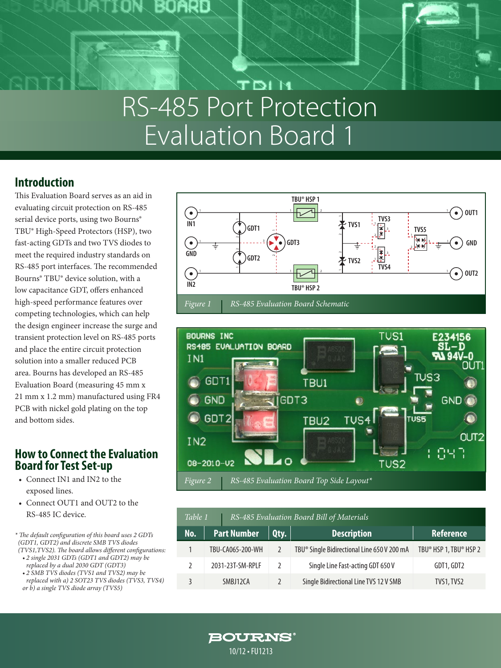

## **DIM** RS-485 Port Protection Evaluation Board 1

Board

### **Introduction**

This Evaluation Board serves as an aid in evaluating circuit protection on RS-485 serial device ports, using two Bourns® TBU® High-Speed Protectors (HSP), two fast-acting GDTs and two TVS diodes to meet the required industry standards on RS-485 port interfaces. The recommended Bourns® TBU® device solution, with a low capacitance GDT, offers enhanced high-speed performance features over competing technologies, which can help the design engineer increase the surge and transient protection level on RS-485 ports and place the entire circuit protection solution into a smaller reduced PCB area. Bourns has developed an RS-485 Evaluation Board (measuring 45 mm x 21 mm x 1.2 mm) manufactured using FR4 PCB with nickel gold plating on the top and bottom sides.

### **How to Connect the Evaluation Board for Test Set-up**

- Connect IN1 and IN2 to the exposed lines.
- Connect OUT1 and OUT2 to the RS-485 IC device.

*\* The default configuration of this board uses 2 GDTs (GDT1, GDT2) and discrete SMB TVS diodes (TVS1,TVS2). The board allows different configurations:* 

- *• 2 single 2031 GDTs (GDT1 and GDT2) may be replaced by a dual 2030 GDT (GDT3)*
- *• 2 SMB TVS diodes (TVS1 and TVS2) may be replaced with a) 2 SOT23 TVS diodes (TVS3, TVS4) or b) a single TVS diode array (TVS5)*





| Table 1 |                    | RS-485 Evaluation Board Bill of Materials |                                                         |                        |
|---------|--------------------|-------------------------------------------|---------------------------------------------------------|------------------------|
| No.     | <b>Part Number</b> | Qty.                                      | <b>Description</b>                                      | <b>Reference</b>       |
|         | TBU-CA065-200-WH   |                                           | TBU <sup>®</sup> Single Bidirectional Line 650 V 200 mA | TBU® HSP 1, TBU® HSP 2 |
|         | 2031-23T-SM-RPLF   | $\mathcal{L}$                             | Single Line Fast-acting GDT 650 V                       | GDT1, GDT2             |
|         | SMBJ12CA           |                                           | Single Bidirectional Line TVS 12 V SMB                  | TVS1, TVS2             |

**BOURNS®** 10/12 • FU1213